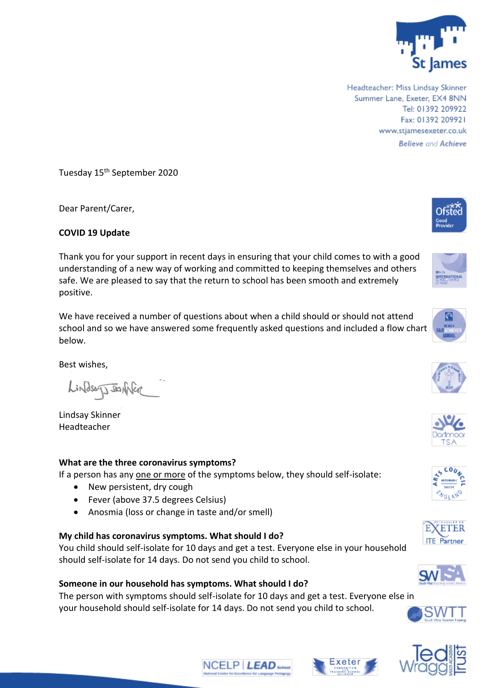

Headteacher: Miss Lindsay Skinner Summer Lane, Exeter, EX4 8NN Tel: 01392 209922 Fax: 01392 209921 www.stjamesexeter.co.uk **Believe and Achieve** 

Tuesday 15th September 2020

Dear Parent/Carer,

## **COVID 19 Update**

Thank you for your support in recent days in ensuring that your child comes to with a good understanding of a new way of working and committed to keeping themselves and others safe. We are pleased to say that the return to school has been smooth and extremely positive.

We have received a number of questions about when a child should or should not attend school and so we have answered some frequently asked questions and included a flow chart below.

Best wishes,

LindsagJJstanNer

Lindsay Skinner Headteacher

## **What are the three coronavirus symptoms?**

If a person has any one or more of the symptoms below, they should self-isolate:

- New persistent, dry cough
- Fever (above 37.5 degrees Celsius)
- Anosmia (loss or change in taste and/or smell)

#### **My child has coronavirus symptoms. What should I do?**

You child should self-isolate for 10 days and get a test. Everyone else in your household should self-isolate for 14 days. Do not send you child to school.

# **Someone in our household has symptoms. What should I do?**

The person with symptoms should self-isolate for 10 days and get a test. Everyone else in your household should self-isolate for 14 days. Do not send you child to school.





















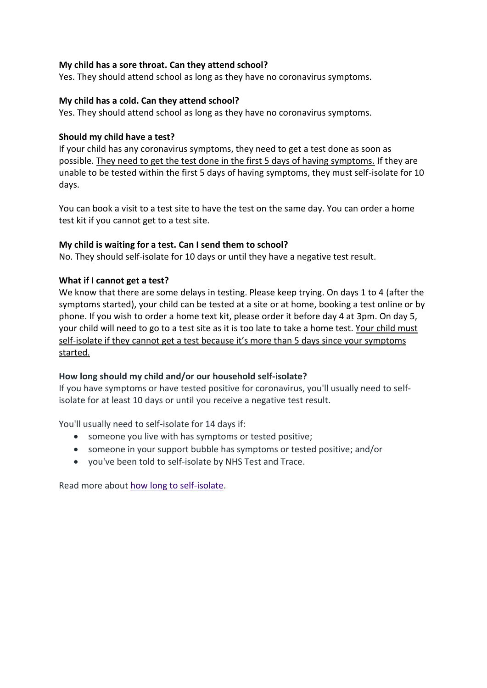## **My child has a sore throat. Can they attend school?**

Yes. They should attend school as long as they have no coronavirus symptoms.

### **My child has a cold. Can they attend school?**

Yes. They should attend school as long as they have no coronavirus symptoms.

### **Should my child have a test?**

If your child has any coronavirus symptoms, they need to get a test done as soon as possible. They need to get the test done in the first 5 days of having symptoms. If they are unable to be tested within the first 5 days of having symptoms, they must self-isolate for 10 days.

You can book a visit to a test site to have the test on the same day. You can order a home test kit if you cannot get to a test site.

### **My child is waiting for a test. Can I send them to school?**

No. They should self-isolate for 10 days or until they have a negative test result.

### **What if I cannot get a test?**

We know that there are some delays in testing. Please keep trying. On days 1 to 4 (after the symptoms started), your child can be tested at a site or at home, booking a test online or by phone. If you wish to order a home text kit, please order it before day 4 at 3pm. On day 5, your child will need to go to a test site as it is too late to take a home test. Your child must self-isolate if they cannot get a test because it's more than 5 days since your symptoms started.

## **How long should my child and/or our household self-isolate?**

If you have symptoms or have tested positive for coronavirus, you'll usually need to selfisolate for at least 10 days or until you receive a negative test result.

You'll usually need to self-isolate for 14 days if:

- someone you live with has symptoms or tested positive;
- someone in your support bubble has symptoms or tested positive; and/or
- you've been told to self-isolate by NHS Test and Trace.

Read more about [how long to self-isolate.](https://www.nhs.uk/conditions/coronavirus-covid-19-old2/what-to-do-if-you-or-someone-you-live-with-has-coronavirus-symptoms/how-long-to-self-isolate/)